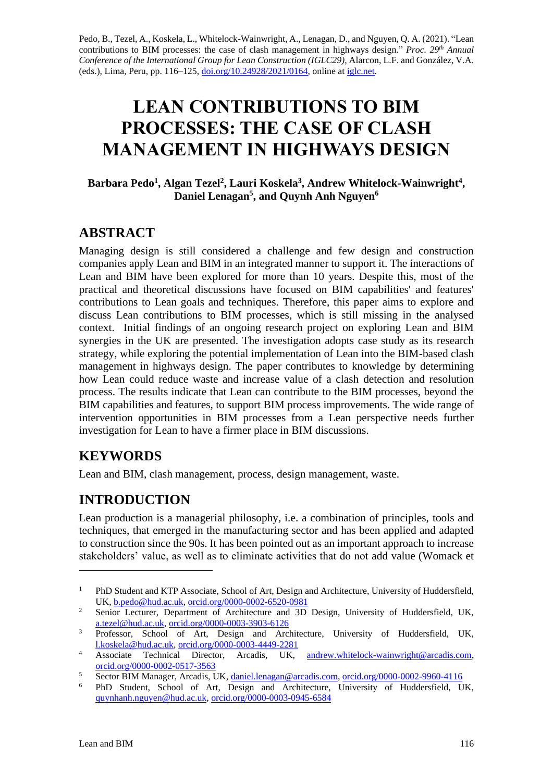Pedo, B., Tezel, A., Koskela, L., Whitelock-Wainwright, A., Lenagan, D., and Nguyen, Q. A. (2021). "Lean contributions to BIM processes: the case of clash management in highways design." *Proc.* 29<sup>th</sup> Annual *Conference of the International Group for Lean Construction (IGLC29),* Alarcon, L.F. and González, V.A. (eds.)*,* Lima, Peru, pp. 116–125, [doi.org/10.24928/2021/0164,](https://doi.org/10.24928/2021/0164) online a[t iglc.net.](http://iglc.net/)

# **LEAN CONTRIBUTIONS TO BIM PROCESSES: THE CASE OF CLASH MANAGEMENT IN HIGHWAYS DESIGN**

#### **Barbara Pedo<sup>1</sup> , Algan Tezel<sup>2</sup> , Lauri Koskela<sup>3</sup> , Andrew Whitelock-Wainwright<sup>4</sup> , Daniel Lenagan<sup>5</sup> , and Quynh Anh Nguyen<sup>6</sup>**

#### **ABSTRACT**

Managing design is still considered a challenge and few design and construction companies apply Lean and BIM in an integrated manner to support it. The interactions of Lean and BIM have been explored for more than 10 years. Despite this, most of the practical and theoretical discussions have focused on BIM capabilities' and features' contributions to Lean goals and techniques. Therefore, this paper aims to explore and discuss Lean contributions to BIM processes, which is still missing in the analysed context. Initial findings of an ongoing research project on exploring Lean and BIM synergies in the UK are presented. The investigation adopts case study as its research strategy, while exploring the potential implementation of Lean into the BIM-based clash management in highways design. The paper contributes to knowledge by determining how Lean could reduce waste and increase value of a clash detection and resolution process. The results indicate that Lean can contribute to the BIM processes, beyond the BIM capabilities and features, to support BIM process improvements. The wide range of intervention opportunities in BIM processes from a Lean perspective needs further investigation for Lean to have a firmer place in BIM discussions.

# **KEYWORDS**

Lean and BIM, clash management, process, design management, waste.

# **INTRODUCTION**

Lean production is a managerial philosophy, i.e. a combination of principles, tools and techniques, that emerged in the manufacturing sector and has been applied and adapted to construction since the 90s. It has been pointed out as an important approach to increase stakeholders' value, as well as to eliminate activities that do not add value (Womack et

<sup>&</sup>lt;sup>1</sup> PhD Student and KTP Associate, School of Art, Design and Architecture, University of Huddersfield, UK, [b.pedo@hud.ac.uk,](mailto:b.pedo@hud.ac.uk) [orcid.org/0000-0002-6520-0981](https://orcid.org/0000-0002-6520-0981)

<sup>&</sup>lt;sup>2</sup> Senior Lecturer, Department of Architecture and 3D Design, University of Huddersfield, UK, [a.tezel@hud.ac.uk,](mailto:a.tezel@hud.ac.uk) [orcid.org/0000-0003-3903-6126](https://orcid.org/0000-0003-3903-6126)

<sup>&</sup>lt;sup>3</sup> Professor, School of Art, Design and Architecture, University of Huddersfield, UK, [l.koskela@hud.ac.uk,](mailto:l.koskela@hud.ac.uk) [orcid.org/0000-0003-4449-2281](https://orcid.org/0000-0003-4449-2281)

<sup>4</sup> Associate Technical Director, Arcadis, UK, [andrew.whitelock-wainwright@arcadis.com,](mailto:andrew.whitelock-wainwright@arcadis.com) [orcid.org/0000-0002-0517-3563](https://orcid.org/0000-0002-0517-3563)

<sup>5</sup> Sector BIM Manager, Arcadis, UK[, daniel.lenagan@arcadis.com,](mailto:daniel.lenagan@arcadis.com) [orcid.org/0000-0002-9960-4116](https://orcid.org/0000-0002-9960-4116)

<sup>6</sup> PhD Student, School of Art, Design and Architecture, University of Huddersfield, UK, [quynhanh.nguyen@hud.ac.uk,](mailto:quynhanh.nguyen@hud.ac.uk) [orcid.org/0000-0003-0945-6584](https://orcid.org/0000-0003-0945-6584)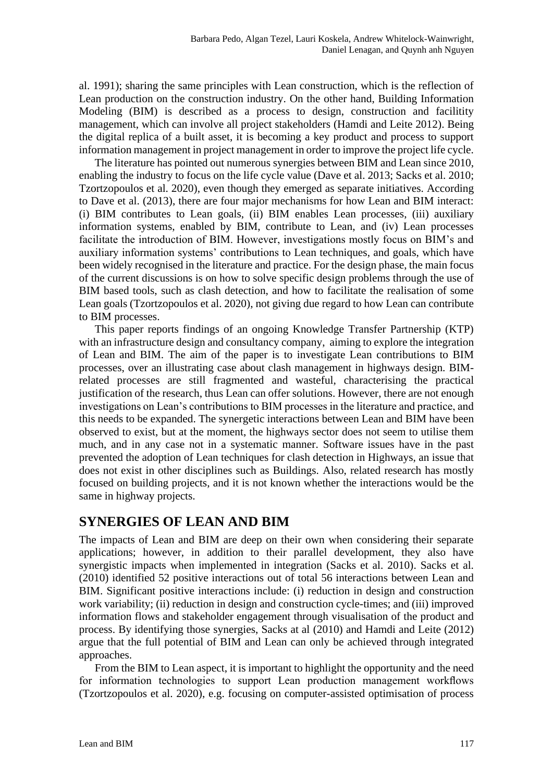al. 1991); sharing the same principles with Lean construction, which is the reflection of Lean production on the construction industry. On the other hand, Building Information Modeling (BIM) is described as a process to design, construction and facilitity management, which can involve all project stakeholders (Hamdi and Leite 2012). Being the digital replica of a built asset, it is becoming a key product and process to support information management in project management in order to improve the project life cycle.

The literature has pointed out numerous synergies between BIM and Lean since 2010, enabling the industry to focus on the life cycle value (Dave et al. 2013; Sacks et al. 2010; Tzortzopoulos et al. 2020), even though they emerged as separate initiatives. According to Dave et al. (2013), there are four major mechanisms for how Lean and BIM interact: (i) BIM contributes to Lean goals, (ii) BIM enables Lean processes, (iii) auxiliary information systems, enabled by BIM, contribute to Lean, and (iv) Lean processes facilitate the introduction of BIM. However, investigations mostly focus on BIM's and auxiliary information systems' contributions to Lean techniques, and goals, which have been widely recognised in the literature and practice. For the design phase, the main focus of the current discussions is on how to solve specific design problems through the use of BIM based tools, such as clash detection, and how to facilitate the realisation of some Lean goals (Tzortzopoulos et al. 2020), not giving due regard to how Lean can contribute to BIM processes.

This paper reports findings of an ongoing Knowledge Transfer Partnership (KTP) with an infrastructure design and consultancy company, aiming to explore the integration of Lean and BIM. The aim of the paper is to investigate Lean contributions to BIM processes, over an illustrating case about clash management in highways design. BIMrelated processes are still fragmented and wasteful, characterising the practical justification of the research, thus Lean can offer solutions. However, there are not enough investigations on Lean's contributions to BIM processes in the literature and practice, and this needs to be expanded. The synergetic interactions between Lean and BIM have been observed to exist, but at the moment, the highways sector does not seem to utilise them much, and in any case not in a systematic manner. Software issues have in the past prevented the adoption of Lean techniques for clash detection in Highways, an issue that does not exist in other disciplines such as Buildings. Also, related research has mostly focused on building projects, and it is not known whether the interactions would be the same in highway projects.

#### **SYNERGIES OF LEAN AND BIM**

The impacts of Lean and BIM are deep on their own when considering their separate applications; however, in addition to their parallel development, they also have synergistic impacts when implemented in integration (Sacks et al. 2010). Sacks et al. (2010) identified 52 positive interactions out of total 56 interactions between Lean and BIM. Significant positive interactions include: (i) reduction in design and construction work variability; (ii) reduction in design and construction cycle-times; and (iii) improved information flows and stakeholder engagement through visualisation of the product and process. By identifying those synergies, Sacks at al (2010) and Hamdi and Leite (2012) argue that the full potential of BIM and Lean can only be achieved through integrated approaches.

From the BIM to Lean aspect, it is important to highlight the opportunity and the need for information technologies to support Lean production management workflows (Tzortzopoulos et al. 2020), e.g. focusing on computer-assisted optimisation of process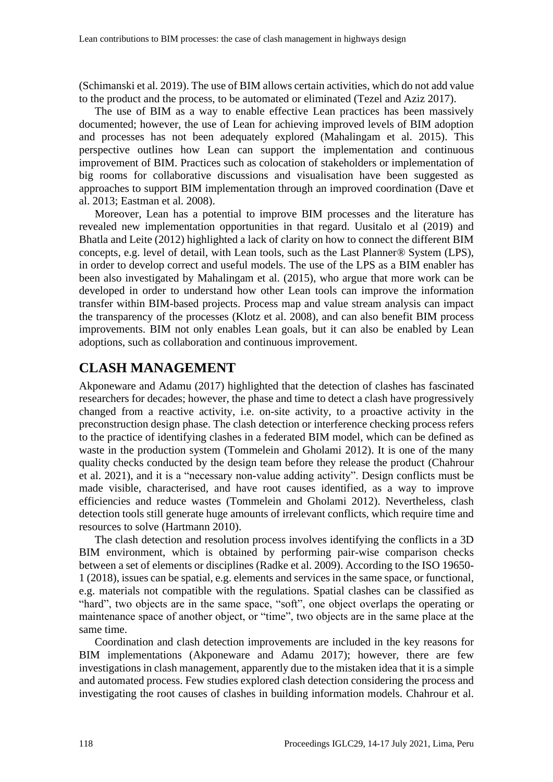(Schimanski et al. 2019). The use of BIM allows certain activities, which do not add value to the product and the process, to be automated or eliminated (Tezel and Aziz 2017).

The use of BIM as a way to enable effective Lean practices has been massively documented; however, the use of Lean for achieving improved levels of BIM adoption and processes has not been adequately explored (Mahalingam et al. 2015). This perspective outlines how Lean can support the implementation and continuous improvement of BIM. Practices such as colocation of stakeholders or implementation of big rooms for collaborative discussions and visualisation have been suggested as approaches to support BIM implementation through an improved coordination (Dave et al. 2013; Eastman et al. 2008).

Moreover, Lean has a potential to improve BIM processes and the literature has revealed new implementation opportunities in that regard. Uusitalo et al (2019) and Bhatla and Leite (2012) highlighted a lack of clarity on how to connect the different BIM concepts, e.g. level of detail, with Lean tools, such as the Last Planner® System (LPS), in order to develop correct and useful models. The use of the LPS as a BIM enabler has been also investigated by Mahalingam et al. (2015), who argue that more work can be developed in order to understand how other Lean tools can improve the information transfer within BIM-based projects. Process map and value stream analysis can impact the transparency of the processes (Klotz et al. 2008), and can also benefit BIM process improvements. BIM not only enables Lean goals, but it can also be enabled by Lean adoptions, such as collaboration and continuous improvement.

# **CLASH MANAGEMENT**

Akponeware and Adamu (2017) highlighted that the detection of clashes has fascinated researchers for decades; however, the phase and time to detect a clash have progressively changed from a reactive activity, i.e. on-site activity, to a proactive activity in the preconstruction design phase. The clash detection or interference checking process refers to the practice of identifying clashes in a federated BIM model, which can be defined as waste in the production system (Tommelein and Gholami 2012). It is one of the many quality checks conducted by the design team before they release the product (Chahrour et al. 2021), and it is a "necessary non-value adding activity". Design conflicts must be made visible, characterised, and have root causes identified, as a way to improve efficiencies and reduce wastes (Tommelein and Gholami 2012). Nevertheless, clash detection tools still generate huge amounts of irrelevant conflicts, which require time and resources to solve (Hartmann 2010).

The clash detection and resolution process involves identifying the conflicts in a 3D BIM environment, which is obtained by performing pair-wise comparison checks between a set of elements or disciplines (Radke et al. 2009). According to the ISO 19650- 1 (2018), issues can be spatial, e.g. elements and services in the same space, or functional, e.g. materials not compatible with the regulations. Spatial clashes can be classified as "hard", two objects are in the same space, "soft", one object overlaps the operating or maintenance space of another object, or "time", two objects are in the same place at the same time.

Coordination and clash detection improvements are included in the key reasons for BIM implementations (Akponeware and Adamu 2017); however, there are few investigations in clash management, apparently due to the mistaken idea that it is a simple and automated process. Few studies explored clash detection considering the process and investigating the root causes of clashes in building information models. Chahrour et al.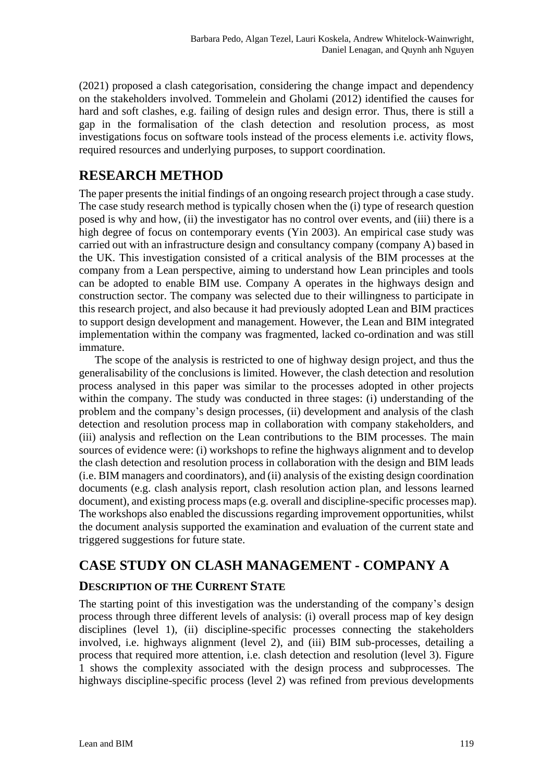(2021) proposed a clash categorisation, considering the change impact and dependency on the stakeholders involved. Tommelein and Gholami (2012) identified the causes for hard and soft clashes, e.g. failing of design rules and design error. Thus, there is still a gap in the formalisation of the clash detection and resolution process, as most investigations focus on software tools instead of the process elements i.e. activity flows, required resources and underlying purposes, to support coordination.

# **RESEARCH METHOD**

The paper presents the initial findings of an ongoing research project through a case study. The case study research method is typically chosen when the (i) type of research question posed is why and how, (ii) the investigator has no control over events, and (iii) there is a high degree of focus on contemporary events (Yin 2003). An empirical case study was carried out with an infrastructure design and consultancy company (company A) based in the UK. This investigation consisted of a critical analysis of the BIM processes at the company from a Lean perspective, aiming to understand how Lean principles and tools can be adopted to enable BIM use. Company A operates in the highways design and construction sector. The company was selected due to their willingness to participate in this research project, and also because it had previously adopted Lean and BIM practices to support design development and management. However, the Lean and BIM integrated implementation within the company was fragmented, lacked co-ordination and was still immature.

The scope of the analysis is restricted to one of highway design project, and thus the generalisability of the conclusions is limited. However, the clash detection and resolution process analysed in this paper was similar to the processes adopted in other projects within the company. The study was conducted in three stages: (i) understanding of the problem and the company's design processes, (ii) development and analysis of the clash detection and resolution process map in collaboration with company stakeholders, and (iii) analysis and reflection on the Lean contributions to the BIM processes. The main sources of evidence were: (i) workshops to refine the highways alignment and to develop the clash detection and resolution process in collaboration with the design and BIM leads (i.e. BIM managers and coordinators), and (ii) analysis of the existing design coordination documents (e.g. clash analysis report, clash resolution action plan, and lessons learned document), and existing process maps (e.g. overall and discipline-specific processes map). The workshops also enabled the discussions regarding improvement opportunities, whilst the document analysis supported the examination and evaluation of the current state and triggered suggestions for future state.

# **CASE STUDY ON CLASH MANAGEMENT - COMPANY A**

#### **DESCRIPTION OF THE CURRENT STATE**

The starting point of this investigation was the understanding of the company's design process through three different levels of analysis: (i) overall process map of key design disciplines (level 1), (ii) discipline-specific processes connecting the stakeholders involved, i.e. highways alignment (level 2), and (iii) BIM sub-processes, detailing a process that required more attention, i.e. clash detection and resolution (level 3). [Figure](#page-4-0)  [1](#page-4-0) shows the complexity associated with the design process and subprocesses. The highways discipline-specific process (level 2) was refined from previous developments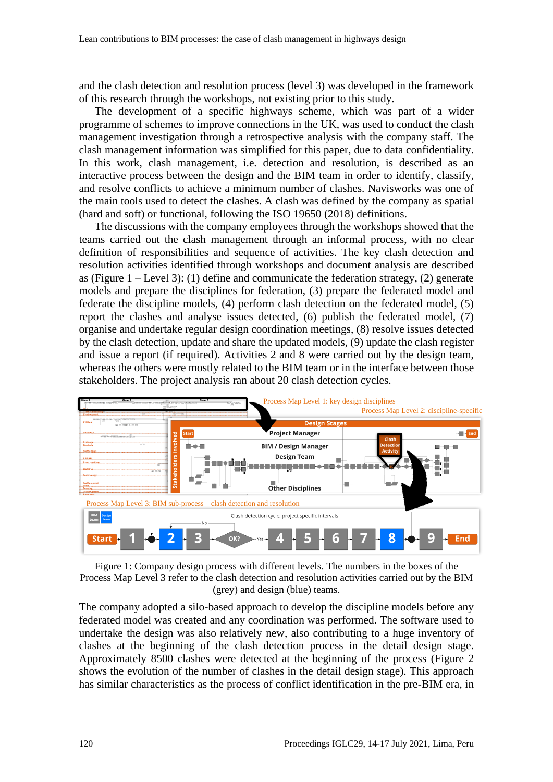and the clash detection and resolution process (level 3) was developed in the framework of this research through the workshops, not existing prior to this study.

The development of a specific highways scheme, which was part of a wider programme of schemes to improve connections in the UK, was used to conduct the clash management investigation through a retrospective analysis with the company staff. The clash management information was simplified for this paper, due to data confidentiality. In this work, clash management, i.e. detection and resolution, is described as an interactive process between the design and the BIM team in order to identify, classify, and resolve conflicts to achieve a minimum number of clashes. Navisworks was one of the main tools used to detect the clashes. A clash was defined by the company as spatial (hard and soft) or functional, following the ISO 19650 (2018) definitions.

The discussions with the company employees through the workshops showed that the teams carried out the clash management through an informal process, with no clear definition of responsibilities and sequence of activities. The key clash detection and resolution activities identified through workshops and document analysis are described as [\(Figure 1](#page-4-0) – Level 3): (1) define and communicate the federation strategy, (2) generate models and prepare the disciplines for federation, (3) prepare the federated model and federate the discipline models, (4) perform clash detection on the federated model, (5) report the clashes and analyse issues detected, (6) publish the federated model, (7) organise and undertake regular design coordination meetings, (8) resolve issues detected by the clash detection, update and share the updated models, (9) update the clash register and issue a report (if required). Activities 2 and 8 were carried out by the design team, whereas the others were mostly related to the BIM team or in the interface between those stakeholders. The project analysis ran about 20 clash detection cycles.



<span id="page-4-0"></span>Figure 1: Company design process with different levels. The numbers in the boxes of the Process Map Level 3 refer to the clash detection and resolution activities carried out by the BIM (grey) and design (blue) teams.

The company adopted a silo-based approach to develop the discipline models before any federated model was created and any coordination was performed. The software used to undertake the design was also relatively new, also contributing to a huge inventory of clashes at the beginning of the clash detection process in the detail design stage. Approximately 8500 clashes were detected at the beginning of the process [\(Figure 2](#page-5-0) shows the evolution of the number of clashes in the detail design stage). This approach has similar characteristics as the process of conflict identification in the pre-BIM era, in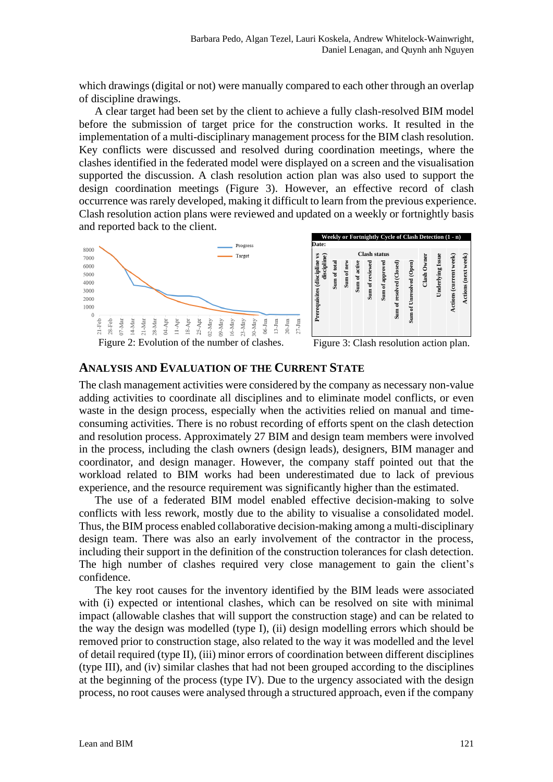which drawings (digital or not) were manually compared to each other through an overlap of discipline drawings.

A clear target had been set by the client to achieve a fully clash-resolved BIM model before the submission of target price for the construction works. It resulted in the implementation of a multi-disciplinary management process for the BIM clash resolution. Key conflicts were discussed and resolved during coordination meetings, where the clashes identified in the federated model were displayed on a screen and the visualisation supported the discussion. A clash resolution action plan was also used to support the design coordination meetings [\(Figure 3\)](#page-5-1). However, an effective record of clash occurrence was rarely developed, making it difficult to learn from the previous experience. Clash resolution action plans were reviewed and updated on a weekly or fortnightly basis and reported back to the client.



<span id="page-5-0"></span>Figure 2: Evolution of the number of clashes.

<span id="page-5-1"></span>Figure 3: Clash resolution action plan.

#### **ANALYSIS AND EVALUATION OF THE CURRENT STATE**

The clash management activities were considered by the company as necessary non-value adding activities to coordinate all disciplines and to eliminate model conflicts, or even waste in the design process, especially when the activities relied on manual and timeconsuming activities. There is no robust recording of efforts spent on the clash detection and resolution process. Approximately 27 BIM and design team members were involved in the process, including the clash owners (design leads), designers, BIM manager and coordinator, and design manager. However, the company staff pointed out that the workload related to BIM works had been underestimated due to lack of previous experience, and the resource requirement was significantly higher than the estimated.

The use of a federated BIM model enabled effective decision-making to solve conflicts with less rework, mostly due to the ability to visualise a consolidated model. Thus, the BIM process enabled collaborative decision-making among a multi-disciplinary design team. There was also an early involvement of the contractor in the process, including their support in the definition of the construction tolerances for clash detection. The high number of clashes required very close management to gain the client's confidence.

The key root causes for the inventory identified by the BIM leads were associated with (i) expected or intentional clashes, which can be resolved on site with minimal impact (allowable clashes that will support the construction stage) and can be related to the way the design was modelled (type I), (ii) design modelling errors which should be removed prior to construction stage, also related to the way it was modelled and the level of detail required (type II), (iii) minor errors of coordination between different disciplines (type III), and (iv) similar clashes that had not been grouped according to the disciplines at the beginning of the process (type IV). Due to the urgency associated with the design process, no root causes were analysed through a structured approach, even if the company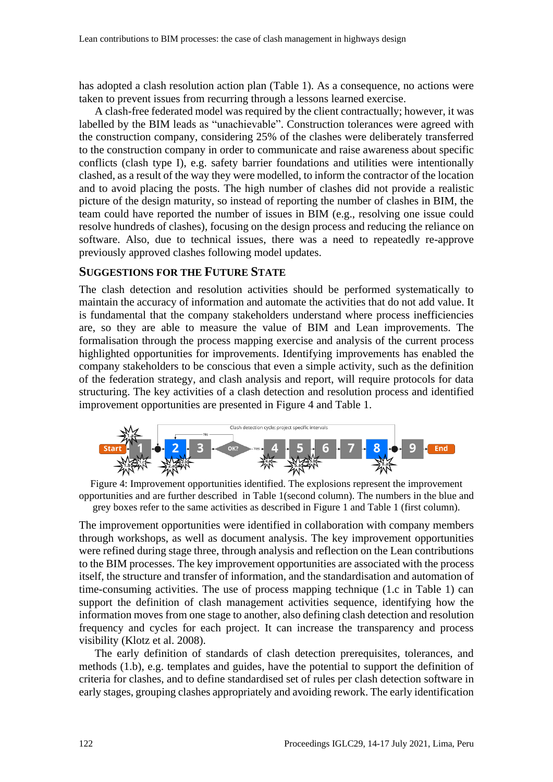has adopted a clash resolution action plan [\(Table 1\)](#page-7-0). As a consequence, no actions were taken to prevent issues from recurring through a lessons learned exercise.

A clash-free federated model was required by the client contractually; however, it was labelled by the BIM leads as "unachievable". Construction tolerances were agreed with the construction company, considering 25% of the clashes were deliberately transferred to the construction company in order to communicate and raise awareness about specific conflicts (clash type I), e.g. safety barrier foundations and utilities were intentionally clashed, as a result of the way they were modelled, to inform the contractor of the location and to avoid placing the posts. The high number of clashes did not provide a realistic picture of the design maturity, so instead of reporting the number of clashes in BIM, the team could have reported the number of issues in BIM (e.g., resolving one issue could resolve hundreds of clashes), focusing on the design process and reducing the reliance on software. Also, due to technical issues, there was a need to repeatedly re-approve previously approved clashes following model updates.

#### **SUGGESTIONS FOR THE FUTURE STATE**

The clash detection and resolution activities should be performed systematically to maintain the accuracy of information and automate the activities that do not add value. It is fundamental that the company stakeholders understand where process inefficiencies are, so they are able to measure the value of BIM and Lean improvements. The formalisation through the process mapping exercise and analysis of the current process highlighted opportunities for improvements. Identifying improvements has enabled the company stakeholders to be conscious that even a simple activity, such as the definition of the federation strategy, and clash analysis and report, will require protocols for data structuring. The key activities of a clash detection and resolution process and identified improvement opportunities are presented in [Figure 4](#page-6-0) and [Table 1.](#page-7-0)



<span id="page-6-0"></span>

The improvement opportunities were identified in collaboration with company members through workshops, as well as document analysis. The key improvement opportunities were refined during stage three, through analysis and reflection on the Lean contributions to the BIM processes. The key improvement opportunities are associated with the process itself, the structure and transfer of information, and the standardisation and automation of time-consuming activities. The use of process mapping technique (1.c in Table 1) can support the definition of clash management activities sequence, identifying how the information moves from one stage to another, also defining clash detection and resolution frequency and cycles for each project. It can increase the transparency and process visibility (Klotz et al. 2008).

The early definition of standards of clash detection prerequisites, tolerances, and methods (1.b), e.g. templates and guides, have the potential to support the definition of criteria for clashes, and to define standardised set of rules per clash detection software in early stages, grouping clashes appropriately and avoiding rework. The early identification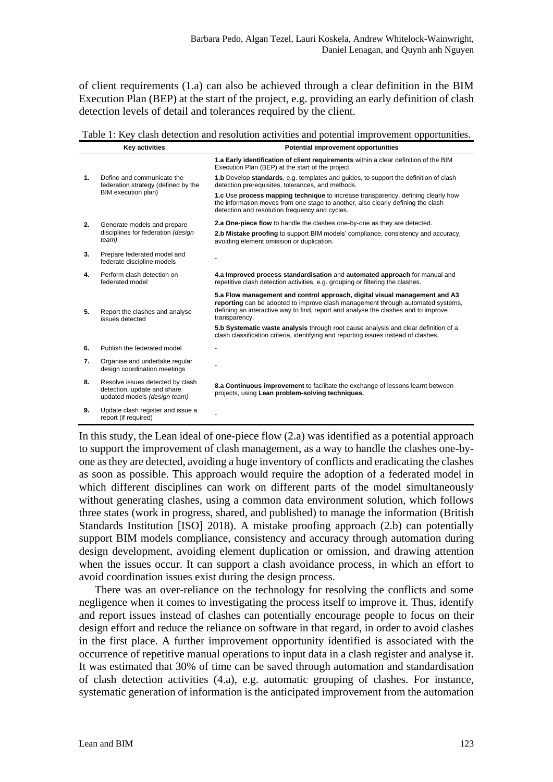of client requirements (1.a) can also be achieved through a clear definition in the BIM Execution Plan (BEP) at the start of the project, e.g. providing an early definition of clash detection levels of detail and tolerances required by the client.

<span id="page-7-0"></span>Table 1: Key clash detection and resolution activities and potential improvement opportunities.

|    | <b>Key activities</b>                                                                           | <b>Potential improvement opportunities</b>                                                                                                                                                                                                                           |
|----|-------------------------------------------------------------------------------------------------|----------------------------------------------------------------------------------------------------------------------------------------------------------------------------------------------------------------------------------------------------------------------|
|    |                                                                                                 | 1.a Early identification of client requirements within a clear definition of the BIM<br>Execution Plan (BEP) at the start of the project.                                                                                                                            |
| 1. | Define and communicate the<br>federation strategy (defined by the<br>BIM execution plan)        | <b>1.b</b> Develop standards, e.g. templates and guides, to support the definition of clash<br>detection prerequisites, tolerances, and methods.                                                                                                                     |
|    |                                                                                                 | 1.c Use process mapping technique to increase transparency, defining clearly how<br>the information moves from one stage to another, also clearly defining the clash<br>detection and resolution frequency and cycles.                                               |
| 2. | Generate models and prepare<br>disciplines for federation (design<br>team)                      | 2.a One-piece flow to handle the clashes one-by-one as they are detected.                                                                                                                                                                                            |
|    |                                                                                                 | 2.b Mistake proofing to support BIM models' compliance, consistency and accuracy,<br>avoiding element omission or duplication.                                                                                                                                       |
| 3. | Prepare federated model and<br>federate discipline models                                       |                                                                                                                                                                                                                                                                      |
| 4. | Perform clash detection on<br>federated model                                                   | 4.a Improved process standardisation and automated approach for manual and<br>repetitive clash detection activities, e.g. grouping or filtering the clashes.                                                                                                         |
| 5. | Report the clashes and analyse<br>issues detected                                               | 5.a Flow management and control approach, digital visual management and A3<br>reporting can be adopted to improve clash management through automated systems,<br>defining an interactive way to find, report and analyse the clashes and to improve<br>transparency. |
|    |                                                                                                 | 5.b Systematic waste analysis through root cause analysis and clear definition of a<br>clash classification criteria, identifying and reporting issues instead of clashes.                                                                                           |
| 6. | Publish the federated model                                                                     |                                                                                                                                                                                                                                                                      |
| 7. | Organise and undertake regular<br>design coordination meetings                                  |                                                                                                                                                                                                                                                                      |
| 8. | Resolve issues detected by clash<br>detection, update and share<br>updated models (design team) | 8.a Continuous improvement to facilitate the exchange of lessons learnt between<br>projects, using Lean problem-solving techniques.                                                                                                                                  |
| 9. | Update clash register and issue a<br>report (if required)                                       |                                                                                                                                                                                                                                                                      |

In this study, the Lean ideal of one-piece flow (2.a) was identified as a potential approach to support the improvement of clash management, as a way to handle the clashes one-byone as they are detected, avoiding a huge inventory of conflicts and eradicating the clashes as soon as possible. This approach would require the adoption of a federated model in which different disciplines can work on different parts of the model simultaneously without generating clashes, using a common data environment solution, which follows three states (work in progress, shared, and published) to manage the information (British Standards Institution [ISO] 2018). A mistake proofing approach (2.b) can potentially support BIM models compliance, consistency and accuracy through automation during design development, avoiding element duplication or omission, and drawing attention when the issues occur. It can support a clash avoidance process, in which an effort to avoid coordination issues exist during the design process.

There was an over-reliance on the technology for resolving the conflicts and some negligence when it comes to investigating the process itself to improve it. Thus, identify and report issues instead of clashes can potentially encourage people to focus on their design effort and reduce the reliance on software in that regard, in order to avoid clashes in the first place. A further improvement opportunity identified is associated with the occurrence of repetitive manual operations to input data in a clash register and analyse it. It was estimated that 30% of time can be saved through automation and standardisation of clash detection activities (4.a), e.g. automatic grouping of clashes. For instance, systematic generation of information is the anticipated improvement from the automation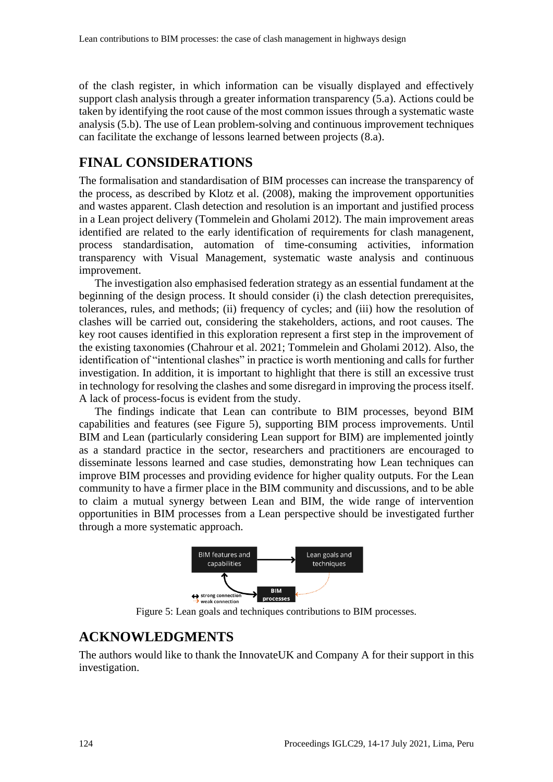of the clash register, in which information can be visually displayed and effectively support clash analysis through a greater information transparency (5.a). Actions could be taken by identifying the root cause of the most common issues through a systematic waste analysis (5.b). The use of Lean problem-solving and continuous improvement techniques can facilitate the exchange of lessons learned between projects (8.a).

#### **FINAL CONSIDERATIONS**

The formalisation and standardisation of BIM processes can increase the transparency of the process, as described by Klotz et al. (2008), making the improvement opportunities and wastes apparent. Clash detection and resolution is an important and justified process in a Lean project delivery (Tommelein and Gholami 2012). The main improvement areas identified are related to the early identification of requirements for clash managenent, process standardisation, automation of time-consuming activities, information transparency with Visual Management, systematic waste analysis and continuous improvement.

The investigation also emphasised federation strategy as an essential fundament at the beginning of the design process. It should consider (i) the clash detection prerequisites, tolerances, rules, and methods; (ii) frequency of cycles; and (iii) how the resolution of clashes will be carried out, considering the stakeholders, actions, and root causes. The key root causes identified in this exploration represent a first step in the improvement of the existing taxonomies (Chahrour et al. 2021; Tommelein and Gholami 2012). Also, the identification of "intentional clashes" in practice is worth mentioning and calls for further investigation. In addition, it is important to highlight that there is still an excessive trust in technology for resolving the clashes and some disregard in improving the process itself. A lack of process-focus is evident from the study.

The findings indicate that Lean can contribute to BIM processes, beyond BIM capabilities and features (see [Figure 5\)](#page-8-0), supporting BIM process improvements. Until BIM and Lean (particularly considering Lean support for BIM) are implemented jointly as a standard practice in the sector, researchers and practitioners are encouraged to disseminate lessons learned and case studies, demonstrating how Lean techniques can improve BIM processes and providing evidence for higher quality outputs. For the Lean community to have a firmer place in the BIM community and discussions, and to be able to claim a mutual synergy between Lean and BIM, the wide range of intervention opportunities in BIM processes from a Lean perspective should be investigated further through a more systematic approach.



Figure 5: Lean goals and techniques contributions to BIM processes.

# <span id="page-8-0"></span>**ACKNOWLEDGMENTS**

The authors would like to thank the InnovateUK and Company A for their support in this investigation.